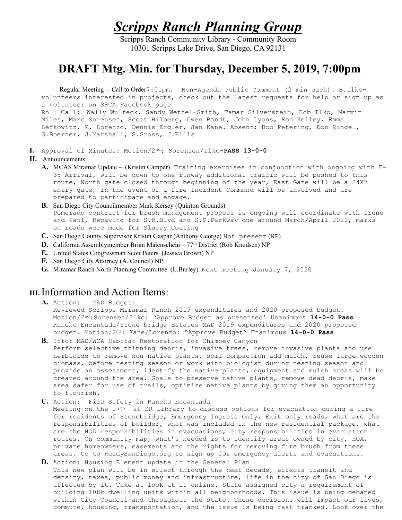Scripps Ranch Planning Group

Scripps Ranch Community Library - Community Room 10301 Scripps Lake Drive, San Diego, CA 92131

## DRAFT Mtg. Min. for Thursday, December 5, 2019, 7:00pm

 Regular Meeting -- Call to Order7:01pm. Non-Agenda Public Comment (2 min each). B.Ilkovolunteers interested in projects, check out the latest requests for help or sign up as a volunteer on SRCA Facebook page Roll Call: Wally Wulfeck, Sandy Wetzel-Smith, Tamar Silverstein, Bob Ilko, Marvin Miles, Marc Sorensen, Scott Hilberg, Gwen Bandt, John Lyons, Ron Kelley, Emma Lefkowitz, M. Lorenzo, Dennis Engler, Jan Kane. Absent: Bob Petering, Don Ringel, G.Boerner, J.Marshall, S.Gross, J.Ellis

I. Approval of Minutes: Motion/2nd: Sorensen/Ilko-PASS 13-0-0

## II. Announcements

- A. MCAS Miramar Update (Kristin Camper) Training exercises in conjunction with ongoing with F-35 Arrival, will be down to one runway additional traffic will be pushed to this route, North gate closed through beginning of the year, East Gate will be a 24X7 entry gate, In the event of a fire Incident Command will be involved and are prepared to participate and engage.
- B. San Diego City Councilmember Mark Kersey (Quinton Grounds) Pomerado contract for brush management process is ongoing will coordinate with Irene and Paul, Repaving for S.R.Blvd and S.P.Parkway due around March/April 2020, marks on roads were made for Slurry Coating
- C. San Diego County Supervisor Kristin Gaspar (Anthony George) Not present(NP)
- **D.** California Assemblymember Brian Maienschein  $77<sup>th</sup>$  District (Rob Knudsen) NP
- E. United States Congressman Scott Peters (Jessica Brown) NP
- F. San Diego City Attorney (A. Council) NP
- G. Miramar Ranch North Planning Committee. (L.Burley). Next meeting January 7, 2020

## III.Information and Action Items:

A. Action: MAD Budget:

Reviewed Scripps Miramar Ranch 2019 expenditures and 2020 proposed budget. Motion/2<sup>nd</sup>:Sorensen/Ilko: 'Approve Budget as presented' Unanimous 14-0-0 Pass Rancho Encantada/Stone bridge Estates MAD 2019 expenditures and 2020 proposed budget. Motion/2nd: Kane/Lorenzo: "Approve Budget" Unanimous 14-0-0 Pass

- B. Info: MAD/WCA Habitat Restoration for Chimney Canyon Perform selective thinning debris, invasive trees, remove invasive plants and use herbicide to remove non-native plants, soil compaction add mulch, reuse large wooden biomass, before nesting season or work with biologist during nesting season and provide an assessment, identify the native plants, equipment and mulch areas will be created around the area. Goals to preserve native plants, remove dead debris, make area safer for use of trails, optimize native plants by giving them an opportunity to flourish.
- C. Action: Fire Safety in Rancho Encantada

Meeting on the 17th at SR Library to discuss options for evacuation during a fire for residents of Stonebridge, Emergency Ingress Only, Exit only roads, what are the responsibilities of builder, what was included in the new residential package, what are the HOA responsibilities in evacuations, city responsibilities in evacuation routes. On community map, what's needed is to identify areas owned by city, HOA, private homeowners, easements and the rights for removing fire brush from these areas. Go to ReadySanDiego.org to sign up for emergency alerts and evacuations.

D. Action: Housing Element update in the General Plan This new plan will be in effect through the next decade, effects transit and density, taxes, public money and infrastructure, life in the city of San Diego is affected by it. Take at look at it online. State assigned city a requirement of building 108k dwelling units within all neighborhoods. This issue is being debated within City Council and throughout the state. These decisions will impact our lives, commute, housing, transportation, and the issue is being fast tracked. Look over the